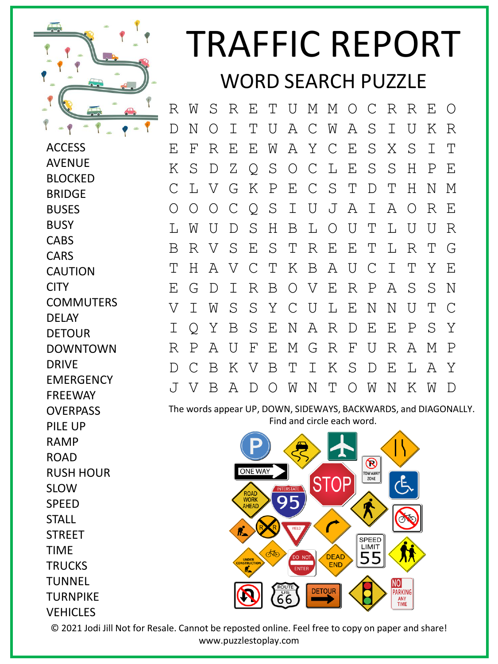

**ACCESS** AVENUE BLOCKED

## TRAFFIC REPORT WORD SEARCH PUZZLE

R W S R E T U M M O C R R E O D N O I T U A C W A S I U K R E F R E E W A Y C E S X S I T K S D Z Q S O C L E S S H P E C L V G K P E C S T D T H N M O O O C Q S I U J A I A O R E L W U D S H B L O U T L U U R B R V S E S T R E E T L R T G T H A V C T K B A U C I T Y E E G D I R B O V E R P A S S N V I W S S Y C U L E N N U T C I Q Y B S E N A R D E E P S Y R P A U F E M G R F U R A M P D C B K V B T I K S D E L A Y J V B A D O W N T O W N K W D

The words appear UP, DOWN, SIDEWAYS, BACKWARDS, and DIAGONALLY. Find and circle each word.



**BRIDGE** BUSES **BUSY CABS CARS** CAUTION **CITY COMMUTERS** DELAY DETOUR DOWNTOWN DRIVE **EMERGENCY** FREEWAY **OVERPASS** PILE UP RAMP ROAD RUSH HOUR SLOW SPEED **STALL STREET** TIME **TRUCKS TUNNEL TURNPIKE** 

**VEHICLES** 

© 2021 Jodi Jill Not for Resale. Cannot be reposted online. Feel free to copy on paper and share! www.puzzlestoplay.com